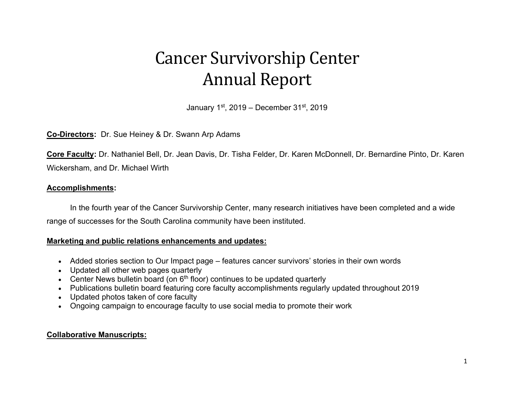# Cancer Survivorship Center Annual Report

January  $1<sup>st</sup>$ , 2019 – December 31 $<sup>st</sup>$ , 2019</sup>

# **Co-Directors:** Dr. Sue Heiney & Dr. Swann Arp Adams

**Core Faculty:** Dr. Nathaniel Bell, Dr. Jean Davis, Dr. Tisha Felder, Dr. Karen McDonnell, Dr. Bernardine Pinto, Dr. Karen Wickersham, and Dr. Michael Wirth

#### **Accomplishments:**

In the fourth year of the Cancer Survivorship Center, many research initiatives have been completed and a wide range of successes for the South Carolina community have been instituted.

# **Marketing and public relations enhancements and updates:**

- Added stories section to Our Impact page features cancer survivors' stories in their own words
- Updated all other web pages quarterly
- Center News bulletin board (on  $6<sup>th</sup>$  floor) continues to be updated quarterly
- Publications bulletin board featuring core faculty accomplishments regularly updated throughout 2019
- Updated photos taken of core faculty
- Ongoing campaign to encourage faculty to use social media to promote their work

# **Collaborative Manuscripts:**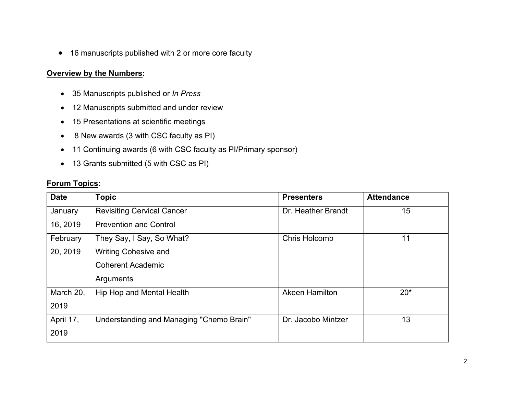• 16 manuscripts published with 2 or more core faculty

# **Overview by the Numbers:**

- 35 Manuscripts published or *In Press*
- 12 Manuscripts submitted and under review
- 15 Presentations at scientific meetings
- 8 New awards (3 with CSC faculty as PI)
- 11 Continuing awards (6 with CSC faculty as PI/Primary sponsor)
- 13 Grants submitted (5 with CSC as PI)

# **Forum Topics:**

| <b>Date</b> | <b>Topic</b>                             | <b>Presenters</b>     | <b>Attendance</b> |
|-------------|------------------------------------------|-----------------------|-------------------|
| January     | <b>Revisiting Cervical Cancer</b>        | Dr. Heather Brandt    | 15                |
| 16, 2019    | <b>Prevention and Control</b>            |                       |                   |
| February    | They Say, I Say, So What?                | <b>Chris Holcomb</b>  | 11                |
| 20, 2019    | <b>Writing Cohesive and</b>              |                       |                   |
|             | <b>Coherent Academic</b>                 |                       |                   |
|             | Arguments                                |                       |                   |
| March 20,   | Hip Hop and Mental Health                | <b>Akeen Hamilton</b> | $20*$             |
| 2019        |                                          |                       |                   |
| April 17,   | Understanding and Managing "Chemo Brain" | Dr. Jacobo Mintzer    | 13                |
| 2019        |                                          |                       |                   |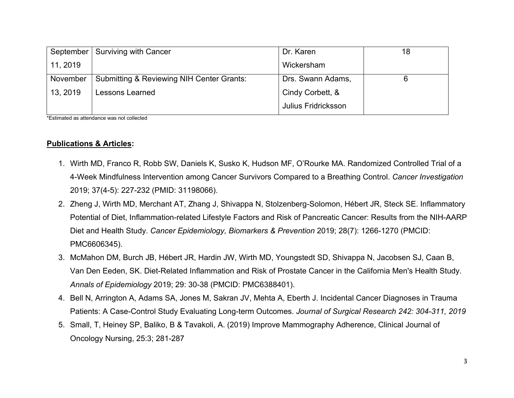| September | Surviving with Cancer                     | Dr. Karen                  | 18 |
|-----------|-------------------------------------------|----------------------------|----|
| 11, 2019  |                                           | Wickersham                 |    |
| November  | Submitting & Reviewing NIH Center Grants: | Drs. Swann Adams,          |    |
| 13, 2019  | Lessons Learned                           | Cindy Corbett, &           |    |
|           |                                           | <b>Julius Fridricksson</b> |    |

\*Estimated as attendance was not collected

#### **Publications & Articles:**

- 1. Wirth MD, Franco R, Robb SW, Daniels K, Susko K, Hudson MF, O'Rourke MA. Randomized Controlled Trial of a 4-Week Mindfulness Intervention among Cancer Survivors Compared to a Breathing Control. *Cancer Investigation*  2019; 37(4-5): 227-232 (PMID: 31198066).
- 2. Zheng J, Wirth MD, Merchant AT, Zhang J, Shivappa N, Stolzenberg-Solomon, Hébert JR, Steck SE. Inflammatory Potential of Diet, Inflammation-related Lifestyle Factors and Risk of Pancreatic Cancer: Results from the NIH-AARP Diet and Health Study. *Cancer Epidemiology, Biomarkers & Prevention* 2019; 28(7): 1266-1270 (PMCID: PMC6606345).
- 3. McMahon DM, Burch JB, Hébert JR, Hardin JW, Wirth MD, Youngstedt SD, Shivappa N, Jacobsen SJ, Caan B, Van Den Eeden, SK. Diet-Related Inflammation and Risk of Prostate Cancer in the California Men's Health Study. *Annals of Epidemiology* 2019; 29: 30-38 (PMCID: PMC6388401).
- 4. Bell N, Arrington A, Adams SA, Jones M, Sakran JV, Mehta A, Eberth J. Incidental Cancer Diagnoses in Trauma Patients: A Case-Control Study Evaluating Long-term Outcomes. *Journal of Surgical Research 242: 304-311, 2019*
- 5. Small, T, Heiney SP, Baliko, B & Tavakoli, A. (2019) Improve Mammography Adherence, Clinical Journal of Oncology Nursing, 25:3; 281-287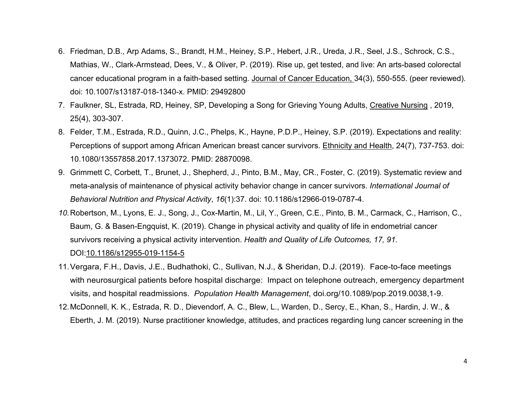- 6. Friedman, D.B., Arp Adams, S., Brandt, H.M., Heiney, S.P., Hebert, J.R., Ureda, J.R., Seel, J.S., Schrock, C.S., Mathias, W., Clark-Armstead, Dees, V., & Oliver, P. (2019). Rise up, get tested, and live: An arts-based colorectal cancer educational program in a faith-based setting. Journal of Cancer Education, 34(3), 550-555. (peer reviewed). doi: 10.1007/s13187-018-1340-x. PMID: 29492800
- 7. Faulkner, SL, Estrada, RD, Heiney, SP, Developing a Song for Grieving Young Adults, Creative Nursing , 2019, 25(4), 303-307.
- 8. Felder, T.M., Estrada, R.D., Quinn, J.C., Phelps, K., Hayne, P.D.P., Heiney, S.P. (2019). Expectations and reality: Perceptions of support among African American breast cancer survivors. Ethnicity and Health, 24(7), 737-753. doi: 10.1080/13557858.2017.1373072. PMID: 28870098.
- 9. Grimmett C, Corbett, T., Brunet, J., Shepherd, J., Pinto, B.M., May, CR., Foster, C. (2019). Systematic review and meta-analysis of maintenance of physical activity behavior change in cancer survivors. *International Journal of Behavioral Nutrition and Physical Activity*, *16*(1):37. doi: 10.1186/s12966-019-0787-4.
- *10.*Robertson, M., Lyons, E. J., Song, J., Cox-Martin, M., Lil, Y., Green, C.E., Pinto, B. M., Carmack, C., Harrison, C., Baum, G. & Basen-Engquist, K. (2019). Change in physical activity and quality of life in endometrial cancer survivors receiving a physical activity intervention. *Health and Quality of Life Outcomes, 17, 91.*  DOI[:10.1186/s12955-019-1154-5](https://doi.org/10.1186/s12955-019-1154-5)
- 11.Vergara, F.H., Davis, J.E., Budhathoki, C., Sullivan, N.J., & Sheridan, D.J. (2019). Face-to-face meetings with neurosurgical patients before hospital discharge: Impact on telephone outreach, emergency department visits, and hospital readmissions. *Population Health Management*, doi.org/10.1089/pop.2019.0038,1-9.
- 12.McDonnell, K. K., Estrada, R. D., Dievendorf, A. C., Blew, L., Warden, D., Sercy, E., Khan, S., Hardin, J. W., & Eberth, J. M. (2019). Nurse practitioner knowledge, attitudes, and practices regarding lung cancer screening in the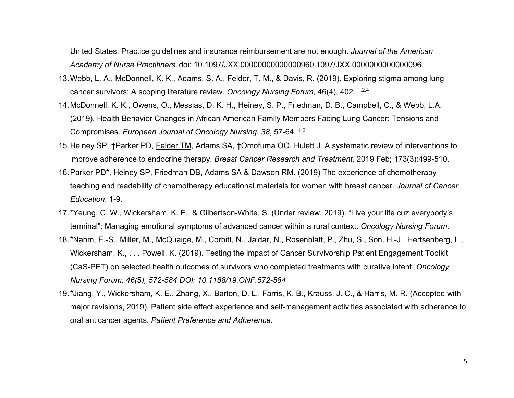United States: Practice guidelines and insurance reimbursement are not enough. *Journal of the American Academy of Nurse Practitiners*. doi: 10.1097/JXX.00000000000000960.1097/JXX.0000000000000096.

- 13.Webb, L. A., McDonnell, K. K., Adams, S. A., Felder, T. M., & Davis, R. (2019). Exploring stigma among lung cancer survivors: A scoping literature review. *Oncology Nursing Forum*, 46(4), 402. 1,2,4
- 14.McDonnell, K. K., Owens, O., Messias, D. K. H., Heiney, S. P., Friedman, D. B., Campbell, C., & Webb, L.A. (2019). Health Behavior Changes in African American Family Members Facing Lung Cancer: Tensions and Compromises. *European Journal of Oncology Nursing*. *38*, 57-64. 1,2
- 15.Heiney SP, †Parker PD, Felder TM, Adams SA, †Omofuma OO, Hulett J. A systematic review of interventions to improve adherence to endocrine therapy. *Breast Cancer Research and Treatment,* 2019 Feb; 173(3):499-510.
- 16.Parker PD\*, Heiney SP, Friedman DB, Adams SA & Dawson RM. (2019) The experience of chemotherapy teaching and readability of chemotherapy educational materials for women with breast cancer. *Journal of Cancer Education*, 1-9.
- 17.\*Yeung, C. W., Wickersham, K. E., & Gilbertson-White, S. (Under review, 2019). "Live your life cuz everybody's terminal": Managing emotional symptoms of advanced cancer within a rural context. *Oncology Nursing Forum.*
- 18.\*Nahm, E.-S., Miller, M., McQuaige, M., Corbitt, N., Jaidar, N., Rosenblatt, P., Zhu, S., Son, H.-J., Hertsenberg, L., Wickersham, K., . . . Powell, K. (2019). Testing the impact of Cancer Survivorship Patient Engagement Toolkit (CaS-PET) on selected health outcomes of survivors who completed treatments with curative intent. *Oncology Nursing Forum, 46(*5*), 572-584 DOI: 10.1188/19.ONF.572-584*
- 19.\*Jiang, Y., Wickersham, K. E., Zhang, X., Barton, D. L., Farris, K. B., Krauss, J. C., & Harris, M. R. (Accepted with major revisions, 2019). Patient side effect experience and self-management activities associated with adherence to oral anticancer agents. *Patient Preference and Adherence*.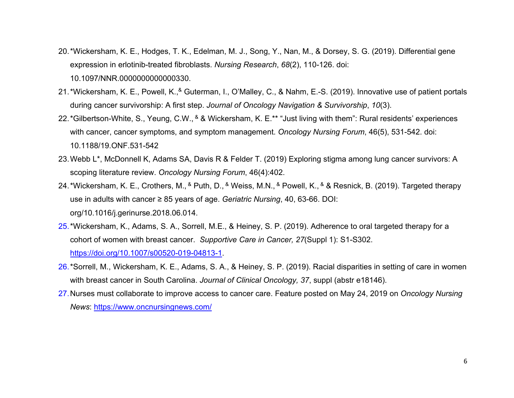- 20.\*Wickersham, K. E., Hodges, T. K., Edelman, M. J., Song, Y., Nan, M., & Dorsey, S. G. (2019). Differential gene expression in erlotinib-treated fibroblasts. *Nursing Research*, *68*(2), 110-126. doi: 10.1097/NNR.0000000000000330.
- 21.\*Wickersham, K. E., Powell, K., & Guterman, I., O'Malley, C., & Nahm, E.-S. (2019). Innovative use of patient portals during cancer survivorship: A first step. *Journal of Oncology Navigation & Survivorship*, *10*(3).
- 22.\*Gilbertson-White, S., Yeung, C.W., & & Wickersham, K. E.\*\* "Just living with them": Rural residents' experiences with cancer, cancer symptoms, and symptom management. *Oncology Nursing Forum*, 46(5), 531-542. doi: 10.1188/19.ONF.531-542
- 23.Webb L\*, McDonnell K, Adams SA, Davis R & Felder T. (2019) Exploring stigma among lung cancer survivors: A scoping literature review. *Oncology Nursing Forum*, 46(4):402.
- 24.\*Wickersham, K. E., Crothers, M., & Puth, D., & Weiss, M.N., & Powell, K., & & Resnick, B. (2019). Targeted therapy use in adults with cancer ≥ 85 years of age. *Geriatric Nursing*, 40, 63-66. DOI: org/10.1016/j.gerinurse.2018.06.014.
- 25.\*Wickersham, K., Adams, S. A., Sorrell, M.E., & Heiney, S. P. (2019). Adherence to oral targeted therapy for a cohort of women with breast cancer. *Supportive Care in Cancer, 27*(Suppl 1): S1-S302. [https://doi.org/10.1007/s00520-019-04813-1.](https://doi.org/10.1007/s00520-019-04813-1)
- 26.\*Sorrell, M., Wickersham, K. E., Adams, S. A., & Heiney, S. P. (2019). Racial disparities in setting of care in women with breast cancer in South Carolina. *Journal of Clinical Oncology, 37*, suppl (abstr e18146).
- 27.Nurses must collaborate to improve access to cancer care. Feature posted on May 24, 2019 on *Oncology Nursing News*:<https://www.oncnursingnews.com/>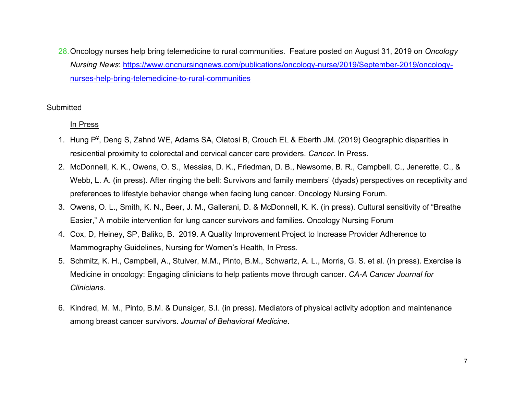28.Oncology nurses help bring telemedicine to rural communities. Feature posted on August 31, 2019 on *Oncology Nursing News*: [https://www.oncnursingnews.com/publications/oncology-nurse/2019/September-2019/oncology](https://www.oncnursingnews.com/publications/oncology-nurse/2019/September-2019/oncology-nurses-help-bring-telemedicine-to-rural-communities)[nurses-help-bring-telemedicine-to-rural-communities](https://www.oncnursingnews.com/publications/oncology-nurse/2019/September-2019/oncology-nurses-help-bring-telemedicine-to-rural-communities)

**Submitted** 

In Press

- 1. Hung P¥, Deng S, Zahnd WE, Adams SA, Olatosi B, Crouch EL & Eberth JM. (2019) Geographic disparities in residential proximity to colorectal and cervical cancer care providers. *Cancer*. In Press.
- 2. McDonnell, K. K., Owens, O. S., Messias, D. K., Friedman, D. B., Newsome, B. R., Campbell, C., Jenerette, C., & Webb, L. A. (in press). After ringing the bell: Survivors and family members' (dyads) perspectives on receptivity and preferences to lifestyle behavior change when facing lung cancer. Oncology Nursing Forum.
- 3. Owens, O. L., Smith, K. N., Beer, J. M., Gallerani, D. & McDonnell, K. K. (in press). Cultural sensitivity of "Breathe Easier," A mobile intervention for lung cancer survivors and families. Oncology Nursing Forum
- 4. Cox, D, Heiney, SP, Baliko, B. 2019. A Quality Improvement Project to Increase Provider Adherence to Mammography Guidelines, Nursing for Women's Health, In Press.
- 5. Schmitz, K. H., Campbell, A., Stuiver, M.M., Pinto, B.M., Schwartz, A. L., Morris, G. S. et al. (in press). Exercise is Medicine in oncology: Engaging clinicians to help patients move through cancer. *CA-A Cancer Journal for Clinicians*.
- 6. Kindred, M. M., Pinto, B.M. & Dunsiger, S.I. (in press). Mediators of physical activity adoption and maintenance among breast cancer survivors. *Journal of Behavioral Medicine*.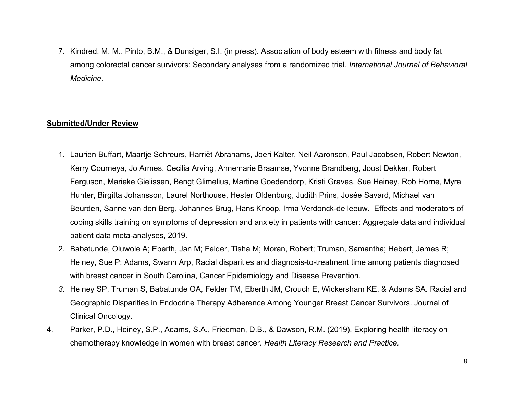7. Kindred, M. M., Pinto, B.M., & Dunsiger, S.I. (in press). Association of body esteem with fitness and body fat among colorectal cancer survivors: Secondary analyses from a randomized trial. *International Journal of Behavioral Medicine*.

#### **Submitted/Under Review**

- 1. Laurien Buffart, Maartje Schreurs, Harriët Abrahams, Joeri Kalter, Neil Aaronson, Paul Jacobsen, Robert Newton, Kerry Courneya, Jo Armes, Cecilia Arving, Annemarie Braamse, Yvonne Brandberg, Joost Dekker, Robert Ferguson, Marieke Gielissen, Bengt Glimelius, Martine Goedendorp, Kristi Graves, Sue Heiney, Rob Horne, Myra Hunter, Birgitta Johansson, Laurel Northouse, Hester Oldenburg, Judith Prins, Josée Savard, Michael van Beurden, Sanne van den Berg, Johannes Brug, Hans Knoop, Irma Verdonck-de leeuw. Effects and moderators of coping skills training on symptoms of depression and anxiety in patients with cancer: Aggregate data and individual patient data meta-analyses, 2019.
- 2. Babatunde, Oluwole A; Eberth, Jan M; Felder, Tisha M; Moran, Robert; Truman, Samantha; Hebert, James R; Heiney, Sue P; Adams, Swann Arp, Racial disparities and diagnosis-to-treatment time among patients diagnosed with breast cancer in South Carolina, Cancer Epidemiology and Disease Prevention.
- *3.* Heiney SP, Truman S, Babatunde OA, Felder TM, Eberth JM, Crouch E, Wickersham KE, & Adams SA. Racial and Geographic Disparities in Endocrine Therapy Adherence Among Younger Breast Cancer Survivors. Journal of Clinical Oncology.
- 4. Parker, P.D., Heiney, S.P., Adams, S.A., Friedman, D.B., & Dawson, R.M. (2019). Exploring health literacy on chemotherapy knowledge in women with breast cancer. *Health Literacy Research and Practice.*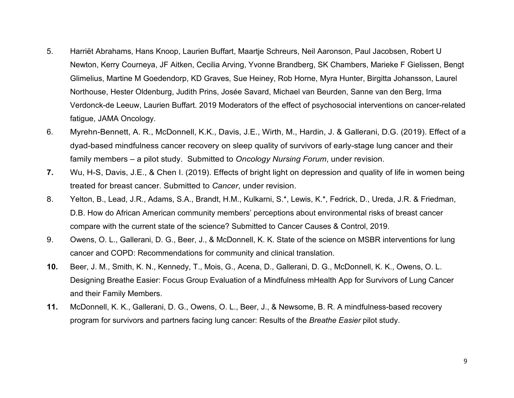- 5. Harriët Abrahams, Hans Knoop, Laurien Buffart, Maartje Schreurs, Neil Aaronson, Paul Jacobsen, Robert U Newton, Kerry Courneya, JF Aitken, Cecilia Arving, Yvonne Brandberg, SK Chambers, Marieke F Gielissen, Bengt Glimelius, Martine M Goedendorp, KD Graves, Sue Heiney, Rob Horne, Myra Hunter, Birgitta Johansson, Laurel Northouse, Hester Oldenburg, Judith Prins, Josée Savard, Michael van Beurden, Sanne van den Berg, Irma Verdonck-de Leeuw, Laurien Buffart. 2019 Moderators of the effect of psychosocial interventions on cancer-related fatigue, JAMA Oncology.
- 6. Myrehn-Bennett, A. R., McDonnell, K.K., Davis, J.E., Wirth, M., Hardin, J. & Gallerani, D.G. (2019). Effect of a dyad-based mindfulness cancer recovery on sleep quality of survivors of early-stage lung cancer and their family members – a pilot study. Submitted to *Oncology Nursing Forum*, under revision.
- **7.** Wu, H-S, Davis, J.E., & Chen I. (2019). Effects of bright light on depression and quality of life in women being treated for breast cancer. Submitted to *Cancer*, under revision.
- 8. Yelton, B., Lead, J.R., Adams, S.A., Brandt, H.M., Kulkarni, S.\*, Lewis, K.\*, Fedrick, D., Ureda, J.R. & Friedman, D.B. How do African American community members' perceptions about environmental risks of breast cancer compare with the current state of the science? Submitted to Cancer Causes & Control, 2019.
- 9. Owens, O. L., Gallerani, D. G., Beer, J., & McDonnell, K. K. State of the science on MSBR interventions for lung cancer and COPD: Recommendations for community and clinical translation.
- **10.** Beer, J. M., Smith, K. N., Kennedy, T., Mois, G., Acena, D., Gallerani, D. G., McDonnell, K. K., Owens, O. L. Designing Breathe Easier: Focus Group Evaluation of a Mindfulness mHealth App for Survivors of Lung Cancer and their Family Members.
- **11.** McDonnell, K. K., Gallerani, D. G., Owens, O. L., Beer, J., & Newsome, B. R. A mindfulness-based recovery program for survivors and partners facing lung cancer: Results of the *Breathe Easier* pilot study.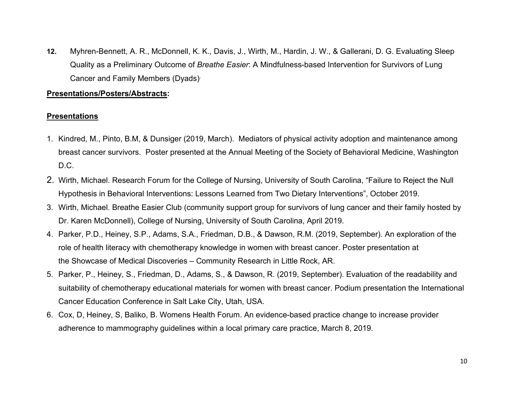**12.** Myhren-Bennett, A. R., McDonnell, K. K., Davis, J., Wirth, M., Hardin, J. W., & Gallerani, D. G. Evaluating Sleep Quality as a Preliminary Outcome of *Breathe Easier*: A Mindfulness-based Intervention for Survivors of Lung Cancer and Family Members (Dyads).

#### **Presentations/Posters/Abstracts:**

# **Presentations**

- 1. Kindred, M., Pinto, B.M, & Dunsiger (2019, March). Mediators of physical activity adoption and maintenance among breast cancer survivors. Poster presented at the Annual Meeting of the Society of Behavioral Medicine, Washington D.C.
- 2. Wirth, Michael. Research Forum for the College of Nursing, University of South Carolina, "Failure to Reject the Null Hypothesis in Behavioral Interventions: Lessons Learned from Two Dietary Interventions", October 2019.
- 3. Wirth, Michael. Breathe Easier Club (community support group for survivors of lung cancer and their family hosted by Dr. Karen McDonnell), College of Nursing, University of South Carolina, April 2019.
- 4. Parker, P.D., Heiney, S.P., Adams, S.A., Friedman, D.B., & Dawson, R.M. (2019, September). An exploration of the role of health literacy with chemotherapy knowledge in women with breast cancer. Poster presentation at the Showcase of Medical Discoveries – Community Research in Little Rock, AR.
- 5. Parker, P., Heiney, S., Friedman, D., Adams, S., & Dawson, R. (2019, September). Evaluation of the readability and suitability of chemotherapy educational materials for women with breast cancer. Podium presentation the International Cancer Education Conference in Salt Lake City, Utah, USA.
- 6. Cox, D, Heiney, S, Baliko, B. Womens Health Forum. An evidence-based practice change to increase provider adherence to mammography guidelines within a local primary care practice, March 8, 2019.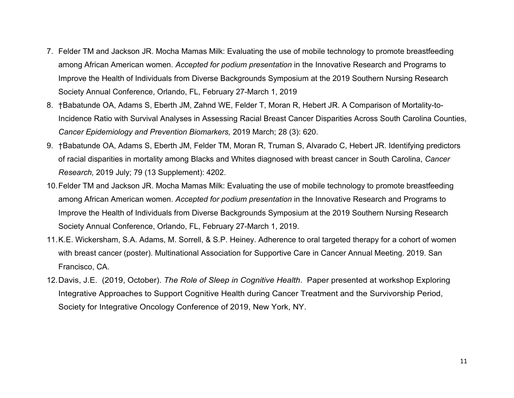- 7. Felder TM and Jackson JR. Mocha Mamas Milk: Evaluating the use of mobile technology to promote breastfeeding among African American women. *Accepted for podium presentation* in the Innovative Research and Programs to Improve the Health of Individuals from Diverse Backgrounds Symposium at the 2019 Southern Nursing Research Society Annual Conference, Orlando, FL, February 27-March 1, 2019
- 8. †Babatunde OA, Adams S, Eberth JM, Zahnd WE, Felder T, Moran R, Hebert JR. A Comparison of Mortality-to-Incidence Ratio with Survival Analyses in Assessing Racial Breast Cancer Disparities Across South Carolina Counties, *Cancer Epidemiology and Prevention Biomarkers,* 2019 March; 28 (3): 620.
- 9. †Babatunde OA, Adams S, Eberth JM, Felder TM, Moran R, Truman S, Alvarado C, Hebert JR. Identifying predictors of racial disparities in mortality among Blacks and Whites diagnosed with breast cancer in South Carolina, *Cancer Research,* 2019 July; 79 (13 Supplement): 4202.
- 10.Felder TM and Jackson JR. Mocha Mamas Milk: Evaluating the use of mobile technology to promote breastfeeding among African American women. *Accepted for podium presentation* in the Innovative Research and Programs to Improve the Health of Individuals from Diverse Backgrounds Symposium at the 2019 Southern Nursing Research Society Annual Conference, Orlando, FL, February 27-March 1, 2019.
- 11.K.E. Wickersham, S.A. Adams, M. Sorrell, & S.P. Heiney. Adherence to oral targeted therapy for a cohort of women with breast cancer (poster). Multinational Association for Supportive Care in Cancer Annual Meeting. 2019. San Francisco, CA.
- 12.Davis, J.E. (2019, October). *The Role of Sleep in Cognitive Health*. Paper presented at workshop Exploring Integrative Approaches to Support Cognitive Health during Cancer Treatment and the Survivorship Period, Society for Integrative Oncology Conference of 2019, New York, NY.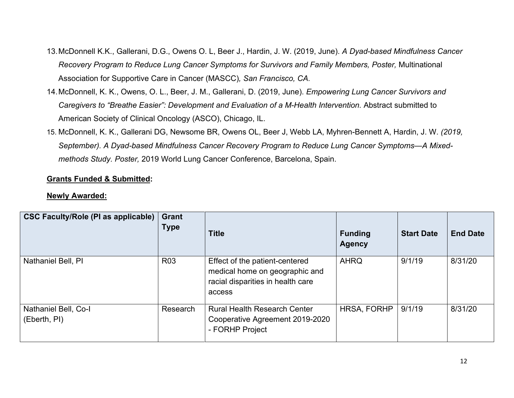- 13.McDonnell K.K., Gallerani, D.G., Owens O. L, Beer J., Hardin, J. W. (2019, June). *A Dyad-based Mindfulness Cancer Recovery Program to Reduce Lung Cancer Symptoms for Survivors and Family Members, Poster,* Multinational Association for Supportive Care in Cancer (MASCC)*, San Francisco, CA.*
- 14.McDonnell, K. K., Owens, O. L., Beer, J. M., Gallerani, D. (2019, June). *Empowering Lung Cancer Survivors and Caregivers to "Breathe Easier": Development and Evaluation of a M-Health Intervention. Abstract submitted to* American Society of Clinical Oncology (ASCO), Chicago, IL.
- 15. McDonnell, K. K., Gallerani DG, Newsome BR, Owens OL, Beer J, Webb LA, Myhren-Bennett A, Hardin, J. W. *(2019, September). A Dyad-based Mindfulness Cancer Recovery Program to Reduce Lung Cancer Symptoms—A Mixedmethods Study. Poster,* 2019 World Lung Cancer Conference, Barcelona, Spain.

# **Grants Funded & Submitted:**

# **Newly Awarded:**

| CSC Faculty/Role (PI as applicable) Grant | <b>Type</b>     | <b>Title</b>                                                                                                    | <b>Funding</b><br><b>Agency</b> | <b>Start Date</b> | <b>End Date</b> |
|-------------------------------------------|-----------------|-----------------------------------------------------------------------------------------------------------------|---------------------------------|-------------------|-----------------|
| Nathaniel Bell, PI                        | R <sub>03</sub> | Effect of the patient-centered<br>medical home on geographic and<br>racial disparities in health care<br>access | <b>AHRQ</b>                     | 9/1/19            | 8/31/20         |
| Nathaniel Bell, Co-I<br>(Eberth, PI)      | Research        | <b>Rural Health Research Center</b><br>Cooperative Agreement 2019-2020<br>- FORHP Project                       | <b>HRSA, FORHP</b>              | 9/1/19            | 8/31/20         |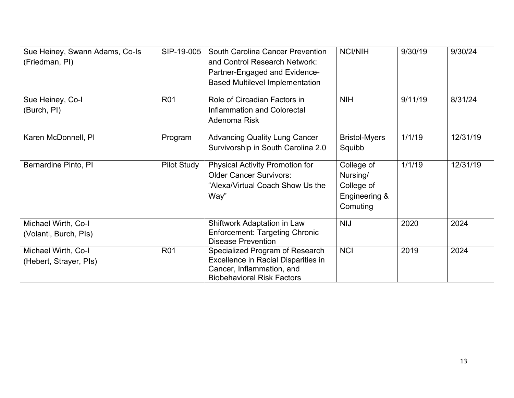| Sue Heiney, Swann Adams, Co-Is | SIP-19-005         | <b>South Carolina Cancer Prevention</b>                            | <b>NCI/NIH</b>       | 9/30/19 | 9/30/24  |
|--------------------------------|--------------------|--------------------------------------------------------------------|----------------------|---------|----------|
| (Friedman, PI)                 |                    | and Control Research Network:                                      |                      |         |          |
|                                |                    | Partner-Engaged and Evidence-                                      |                      |         |          |
|                                |                    | <b>Based Multilevel Implementation</b>                             |                      |         |          |
| Sue Heiney, Co-I               | <b>R01</b>         | Role of Circadian Factors in                                       | <b>NIH</b>           | 9/11/19 | 8/31/24  |
| (Burch, PI)                    |                    | Inflammation and Colorectal                                        |                      |         |          |
|                                |                    | Adenoma Risk                                                       |                      |         |          |
| Karen McDonnell, PI            | Program            | <b>Advancing Quality Lung Cancer</b>                               | <b>Bristol-Myers</b> | 1/1/19  | 12/31/19 |
|                                |                    | Survivorship in South Carolina 2.0                                 | Squibb               |         |          |
| Bernardine Pinto, PI           | <b>Pilot Study</b> | <b>Physical Activity Promotion for</b>                             | College of           | 1/1/19  | 12/31/19 |
|                                |                    | <b>Older Cancer Survivors:</b>                                     | Nursing/             |         |          |
|                                |                    | "Alexa/Virtual Coach Show Us the                                   | College of           |         |          |
|                                |                    | Way"                                                               | Engineering &        |         |          |
|                                |                    |                                                                    | Comuting             |         |          |
| Michael Wirth, Co-I            |                    | Shiftwork Adaptation in Law                                        | <b>NIJ</b>           | 2020    | 2024     |
| (Volanti, Burch, PIs)          |                    | <b>Enforcement: Targeting Chronic</b><br><b>Disease Prevention</b> |                      |         |          |
| Michael Wirth, Co-I            | <b>R01</b>         | Specialized Program of Research                                    | <b>NCI</b>           | 2019    | 2024     |
| (Hebert, Strayer, Pls)         |                    | Excellence in Racial Disparities in                                |                      |         |          |
|                                |                    | Cancer, Inflammation, and                                          |                      |         |          |
|                                |                    | <b>Biobehavioral Risk Factors</b>                                  |                      |         |          |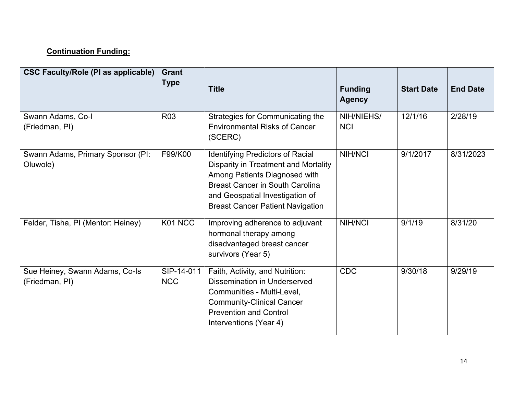# **Continuation Funding:**

| <b>CSC Faculty/Role (PI as applicable)</b>       | Grant<br><b>Type</b>     | <b>Title</b>                                                                                                                                                                                                                                    | <b>Funding</b><br><b>Agency</b> | <b>Start Date</b> | <b>End Date</b> |
|--------------------------------------------------|--------------------------|-------------------------------------------------------------------------------------------------------------------------------------------------------------------------------------------------------------------------------------------------|---------------------------------|-------------------|-----------------|
| Swann Adams, Co-I<br>(Friedman, PI)              | R <sub>03</sub>          | Strategies for Communicating the<br><b>Environmental Risks of Cancer</b><br>(SCERC)                                                                                                                                                             | NIH/NIEHS/<br><b>NCI</b>        | 12/1/16           | 2/28/19         |
| Swann Adams, Primary Sponsor (PI:<br>Oluwole)    | F99/K00                  | <b>Identifying Predictors of Racial</b><br><b>Disparity in Treatment and Mortality</b><br>Among Patients Diagnosed with<br><b>Breast Cancer in South Carolina</b><br>and Geospatial Investigation of<br><b>Breast Cancer Patient Navigation</b> | <b>NIH/NCI</b>                  | 9/1/2017          | 8/31/2023       |
| Felder, Tisha, PI (Mentor: Heiney)               | K01 NCC                  | Improving adherence to adjuvant<br>hormonal therapy among<br>disadvantaged breast cancer<br>survivors (Year 5)                                                                                                                                  | <b>NIH/NCI</b>                  | 9/1/19            | 8/31/20         |
| Sue Heiney, Swann Adams, Co-Is<br>(Friedman, PI) | SIP-14-011<br><b>NCC</b> | Faith, Activity, and Nutrition:<br>Dissemination in Underserved<br>Communities - Multi-Level,<br><b>Community-Clinical Cancer</b><br><b>Prevention and Control</b><br>Interventions (Year 4)                                                    | <b>CDC</b>                      | 9/30/18           | 9/29/19         |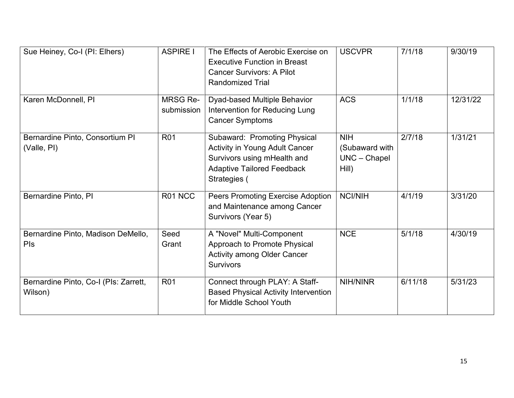| Sue Heiney, Co-I (PI: Elhers)                    | <b>ASPIRE I</b>        | The Effects of Aerobic Exercise on<br><b>Executive Function in Breast</b><br><b>Cancer Survivors: A Pilot</b><br><b>Randomized Trial</b>                  | <b>USCVPR</b>                                           | 7/1/18  | 9/30/19  |
|--------------------------------------------------|------------------------|-----------------------------------------------------------------------------------------------------------------------------------------------------------|---------------------------------------------------------|---------|----------|
| Karen McDonnell, PI                              | MRSG Re-<br>submission | Dyad-based Multiple Behavior<br>Intervention for Reducing Lung<br><b>Cancer Symptoms</b>                                                                  | <b>ACS</b>                                              | 1/1/18  | 12/31/22 |
| Bernardine Pinto, Consortium PI<br>(Valle, PI)   | <b>R01</b>             | Subaward: Promoting Physical<br><b>Activity in Young Adult Cancer</b><br>Survivors using mHealth and<br><b>Adaptive Tailored Feedback</b><br>Strategies ( | <b>NIH</b><br>(Subaward with<br>$UNC - Chapel$<br>Hill) | 2/7/18  | 1/31/21  |
| Bernardine Pinto, PI                             | R01 NCC                | <b>Peers Promoting Exercise Adoption</b><br>and Maintenance among Cancer<br>Survivors (Year 5)                                                            | <b>NCI/NIH</b>                                          | 4/1/19  | 3/31/20  |
| Bernardine Pinto, Madison DeMello,<br>Pls        | Seed<br>Grant          | A "Novel" Multi-Component<br>Approach to Promote Physical<br><b>Activity among Older Cancer</b><br><b>Survivors</b>                                       | <b>NCE</b>                                              | 5/1/18  | 4/30/19  |
| Bernardine Pinto, Co-I (PIs: Zarrett,<br>Wilson) | <b>R01</b>             | Connect through PLAY: A Staff-<br><b>Based Physical Activity Intervention</b><br>for Middle School Youth                                                  | <b>NIH/NINR</b>                                         | 6/11/18 | 5/31/23  |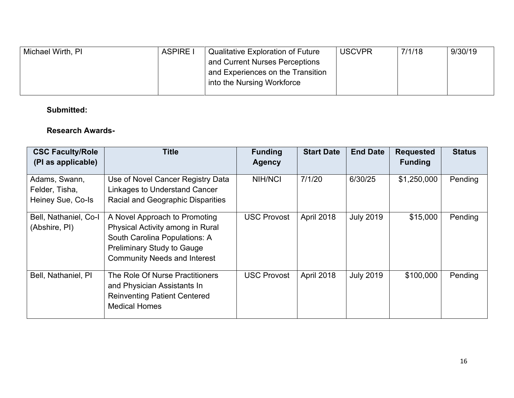| Michael Wirth, PI | <b>ASPIRE I</b> | <b>Qualitative Exploration of Future</b> | <b>USCVPR</b> | 7/1/18 | 9/30/19 |
|-------------------|-----------------|------------------------------------------|---------------|--------|---------|
|                   |                 | and Current Nurses Perceptions           |               |        |         |
|                   |                 | and Experiences on the Transition        |               |        |         |
|                   |                 | into the Nursing Workforce               |               |        |         |
|                   |                 |                                          |               |        |         |

# **Submitted:**

# **Research Awards-**

| <b>CSC Faculty/Role</b><br>(PI as applicable)        | <b>Title</b>                                                                                                                                                                   | <b>Funding</b><br><b>Agency</b> | <b>Start Date</b> | <b>End Date</b>  | <b>Requested</b><br><b>Funding</b> | <b>Status</b> |
|------------------------------------------------------|--------------------------------------------------------------------------------------------------------------------------------------------------------------------------------|---------------------------------|-------------------|------------------|------------------------------------|---------------|
| Adams, Swann,<br>Felder, Tisha,<br>Heiney Sue, Co-Is | Use of Novel Cancer Registry Data<br>Linkages to Understand Cancer<br><b>Racial and Geographic Disparities</b>                                                                 | <b>NIH/NCI</b>                  | 7/1/20            | 6/30/25          | \$1,250,000                        | Pending       |
| Bell, Nathaniel, Co-I<br>(Abshire, PI)               | A Novel Approach to Promoting<br>Physical Activity among in Rural<br>South Carolina Populations: A<br><b>Preliminary Study to Gauge</b><br><b>Community Needs and Interest</b> | <b>USC Provost</b>              | April 2018        | <b>July 2019</b> | \$15,000                           | Pending       |
| Bell, Nathaniel, PI                                  | The Role Of Nurse Practitioners<br>and Physician Assistants In<br><b>Reinventing Patient Centered</b><br><b>Medical Homes</b>                                                  | <b>USC Provost</b>              | April 2018        | <b>July 2019</b> | \$100,000                          | Pending       |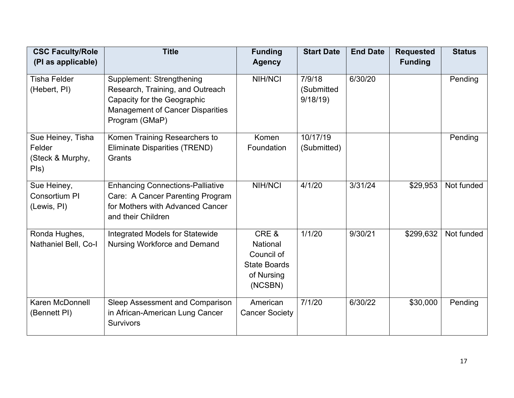| <b>CSC Faculty/Role</b><br>(PI as applicable)           | <b>Title</b>                                                                                                                                              | <b>Funding</b><br><b>Agency</b>                                                       | <b>Start Date</b>               | <b>End Date</b> | <b>Requested</b><br><b>Funding</b> | <b>Status</b> |
|---------------------------------------------------------|-----------------------------------------------------------------------------------------------------------------------------------------------------------|---------------------------------------------------------------------------------------|---------------------------------|-----------------|------------------------------------|---------------|
| <b>Tisha Felder</b><br>(Hebert, PI)                     | Supplement: Strengthening<br>Research, Training, and Outreach<br>Capacity for the Geographic<br><b>Management of Cancer Disparities</b><br>Program (GMaP) | <b>NIH/NCI</b>                                                                        | 7/9/18<br>(Submitted<br>9/18/19 | 6/30/20         |                                    | Pending       |
| Sue Heiney, Tisha<br>Felder<br>(Steck & Murphy,<br>Pls) | Komen Training Researchers to<br>Eliminate Disparities (TREND)<br>Grants                                                                                  | Komen<br>Foundation                                                                   | 10/17/19<br>(Submitted)         |                 |                                    | Pending       |
| Sue Heiney,<br>Consortium PI<br>(Lewis, PI)             | <b>Enhancing Connections-Palliative</b><br>Care: A Cancer Parenting Program<br>for Mothers with Advanced Cancer<br>and their Children                     | <b>NIH/NCI</b>                                                                        | 4/1/20                          | 3/31/24         | \$29,953                           | Not funded    |
| Ronda Hughes,<br>Nathaniel Bell, Co-I                   | Integrated Models for Statewide<br><b>Nursing Workforce and Demand</b>                                                                                    | CRE&<br><b>National</b><br>Council of<br><b>State Boards</b><br>of Nursing<br>(NCSBN) | 1/1/20                          | 9/30/21         | \$299,632                          | Not funded    |
| Karen McDonnell<br>(Bennett PI)                         | Sleep Assessment and Comparison<br>in African-American Lung Cancer<br><b>Survivors</b>                                                                    | American<br><b>Cancer Society</b>                                                     | 7/1/20                          | 6/30/22         | \$30,000                           | Pending       |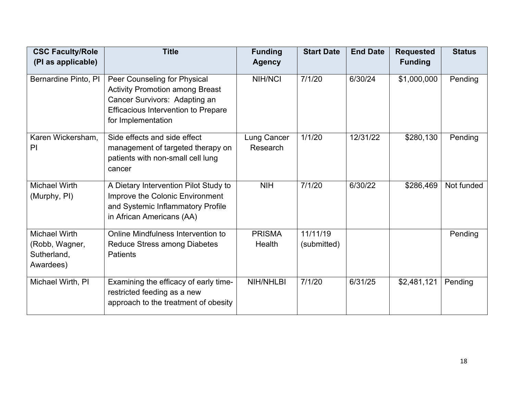| <b>CSC Faculty/Role</b>                                            | <b>Title</b>                                                                                                                                                                | <b>Funding</b>                 | <b>Start Date</b>       | <b>End Date</b> | <b>Requested</b> | <b>Status</b> |
|--------------------------------------------------------------------|-----------------------------------------------------------------------------------------------------------------------------------------------------------------------------|--------------------------------|-------------------------|-----------------|------------------|---------------|
| (PI as applicable)                                                 |                                                                                                                                                                             | <b>Agency</b>                  |                         |                 | <b>Funding</b>   |               |
| Bernardine Pinto, PI                                               | Peer Counseling for Physical<br><b>Activity Promotion among Breast</b><br>Cancer Survivors: Adapting an<br><b>Efficacious Intervention to Prepare</b><br>for Implementation | <b>NIH/NCI</b>                 | 7/1/20                  | 6/30/24         | \$1,000,000      | Pending       |
| Karen Wickersham,<br>PI                                            | Side effects and side effect<br>management of targeted therapy on<br>patients with non-small cell lung<br>cancer                                                            | <b>Lung Cancer</b><br>Research | 1/1/20                  | 12/31/22        | \$280,130        | Pending       |
| <b>Michael Wirth</b><br>(Murphy, PI)                               | A Dietary Intervention Pilot Study to<br>Improve the Colonic Environment<br>and Systemic Inflammatory Profile<br>in African Americans (AA)                                  | <b>NIH</b>                     | 7/1/20                  | 6/30/22         | \$286,469        | Not funded    |
| <b>Michael Wirth</b><br>(Robb, Wagner,<br>Sutherland,<br>Awardees) | Online Mindfulness Intervention to<br><b>Reduce Stress among Diabetes</b><br><b>Patients</b>                                                                                | <b>PRISMA</b><br>Health        | 11/11/19<br>(submitted) |                 |                  | Pending       |
| Michael Wirth, PI                                                  | Examining the efficacy of early time-<br>restricted feeding as a new<br>approach to the treatment of obesity                                                                | <b>NIH/NHLBI</b>               | 7/1/20                  | 6/31/25         | \$2,481,121      | Pending       |